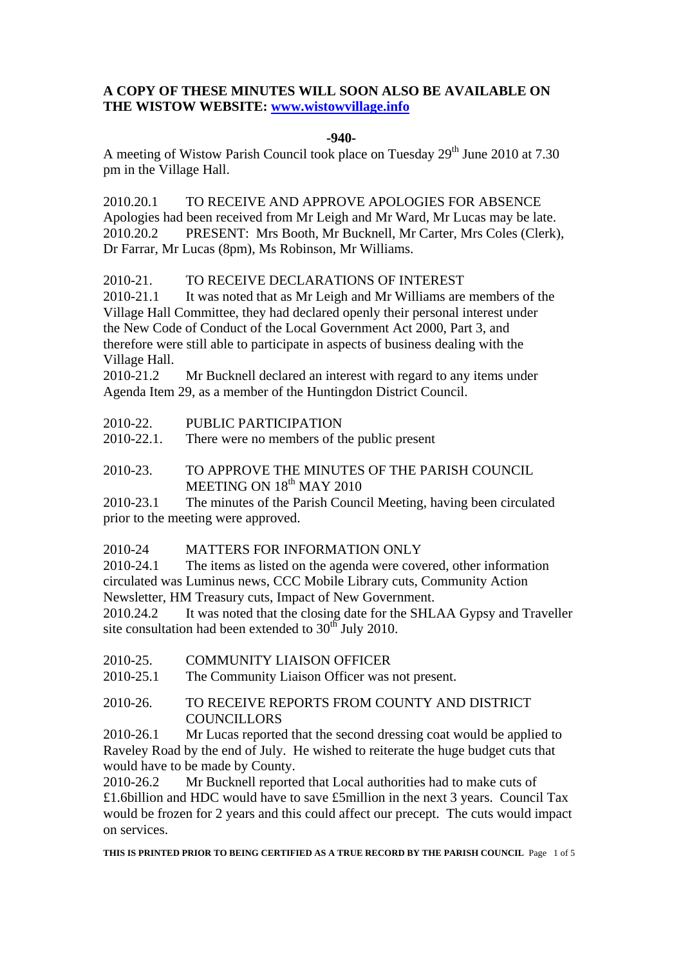# **A COPY OF THESE MINUTES WILL SOON ALSO BE AVAILABLE ON THE WISTOW WEBSITE: www.wistowvillage.info**

#### **-940-**

A meeting of Wistow Parish Council took place on Tuesday  $29<sup>th</sup>$  June 2010 at 7.30 pm in the Village Hall.

2010.20.1 TO RECEIVE AND APPROVE APOLOGIES FOR ABSENCE Apologies had been received from Mr Leigh and Mr Ward, Mr Lucas may be late. 2010.20.2 PRESENT: Mrs Booth, Mr Bucknell, Mr Carter, Mrs Coles (Clerk), Dr Farrar, Mr Lucas (8pm), Ms Robinson, Mr Williams.

## 2010-21. TO RECEIVE DECLARATIONS OF INTEREST

2010-21.1 It was noted that as Mr Leigh and Mr Williams are members of the Village Hall Committee, they had declared openly their personal interest under the New Code of Conduct of the Local Government Act 2000, Part 3, and therefore were still able to participate in aspects of business dealing with the Village Hall.

2010-21.2 Mr Bucknell declared an interest with regard to any items under Agenda Item 29, as a member of the Huntingdon District Council.

2010-22. PUBLIC PARTICIPATION

2010-22.1. There were no members of the public present

2010-23. TO APPROVE THE MINUTES OF THE PARISH COUNCIL MEETING ON  $18<sup>th</sup>$  MAY 2010

2010-23.1 The minutes of the Parish Council Meeting, having been circulated prior to the meeting were approved.

## 2010-24 MATTERS FOR INFORMATION ONLY

2010-24.1 The items as listed on the agenda were covered, other information circulated was Luminus news, CCC Mobile Library cuts, Community Action Newsletter, HM Treasury cuts, Impact of New Government.

2010.24.2 It was noted that the closing date for the SHLAA Gypsy and Traveller site consultation had been extended to  $30<sup>th</sup>$  July 2010.

2010-25. COMMUNITY LIAISON OFFICER

2010-25.1 The Community Liaison Officer was not present.

# 2010-26. TO RECEIVE REPORTS FROM COUNTY AND DISTRICT **COUNCILLORS**

2010-26.1 Mr Lucas reported that the second dressing coat would be applied to Raveley Road by the end of July. He wished to reiterate the huge budget cuts that would have to be made by County.

2010-26.2 Mr Bucknell reported that Local authorities had to make cuts of £1.6billion and HDC would have to save £5million in the next 3 years. Council Tax would be frozen for 2 years and this could affect our precept. The cuts would impact on services.

**THIS IS PRINTED PRIOR TO BEING CERTIFIED AS A TRUE RECORD BY THE PARISH COUNCIL** Page 1 of 5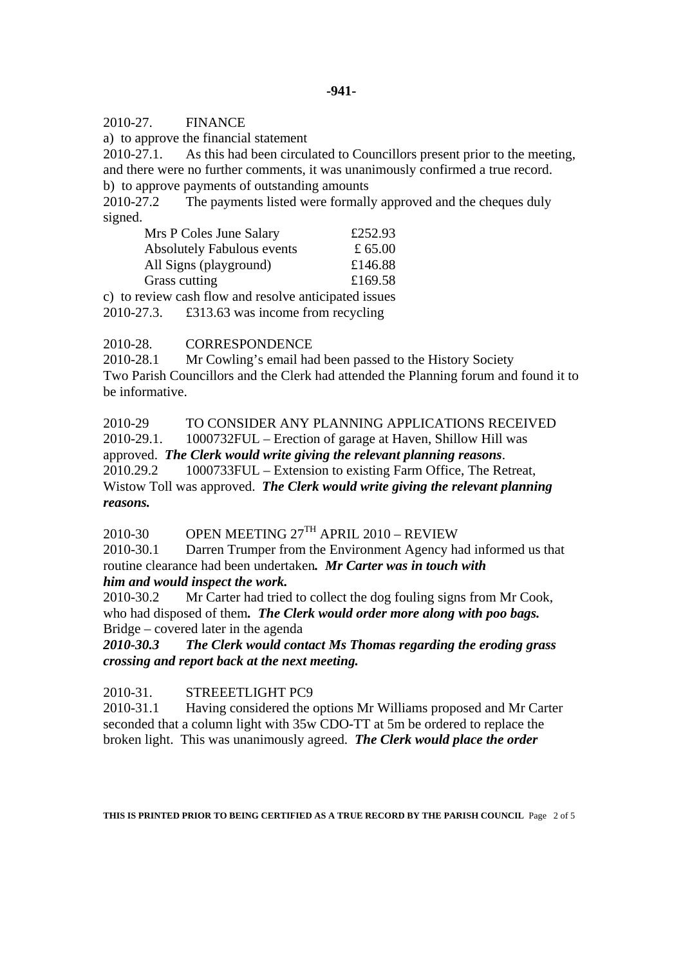#### 2010-27. FINANCE

a) to approve the financial statement

2010-27.1. As this had been circulated to Councillors present prior to the meeting, and there were no further comments, it was unanimously confirmed a true record.

b) to approve payments of outstanding amounts

2010-27.2 The payments listed were formally approved and the cheques duly signed.

| Mrs P Coles June Salary                               | £252.93   |
|-------------------------------------------------------|-----------|
| <b>Absolutely Fabulous events</b>                     | £ $65.00$ |
| All Signs (playground)                                | £146.88   |
| Grass cutting                                         | £169.58   |
| c) to review cash flow and resolve anticipated issues |           |

2010-27.3. £313.63 was income from recycling

2010-28. CORRESPONDENCE

2010-28.1 Mr Cowling's email had been passed to the History Society Two Parish Councillors and the Clerk had attended the Planning forum and found it to be informative.

2010-29 TO CONSIDER ANY PLANNING APPLICATIONS RECEIVED 2010-29.1. 1000732FUL – Erection of garage at Haven, Shillow Hill was approved. *The Clerk would write giving the relevant planning reasons*. 2010.29.2 1000733FUL – Extension to existing Farm Office, The Retreat, Wistow Toll was approved. *The Clerk would write giving the relevant planning reasons.* 

2010-30 OPEN MEETING  $27<sup>TH</sup>$  APRIL 2010 – REVIEW

2010-30.1 Darren Trumper from the Environment Agency had informed us that routine clearance had been undertaken*. Mr Carter was in touch with him and would inspect the work.* 

2010-30.2 Mr Carter had tried to collect the dog fouling signs from Mr Cook, who had disposed of them*. The Clerk would order more along with poo bags.* Bridge – covered later in the agenda

*2010-30.3 The Clerk would contact Ms Thomas regarding the eroding grass crossing and report back at the next meeting.* 

2010-31. STREEETLIGHT PC9

2010-31.1 Having considered the options Mr Williams proposed and Mr Carter seconded that a column light with 35w CDO-TT at 5m be ordered to replace the broken light. This was unanimously agreed. *The Clerk would place the order* 

**THIS IS PRINTED PRIOR TO BEING CERTIFIED AS A TRUE RECORD BY THE PARISH COUNCIL** Page 2 of 5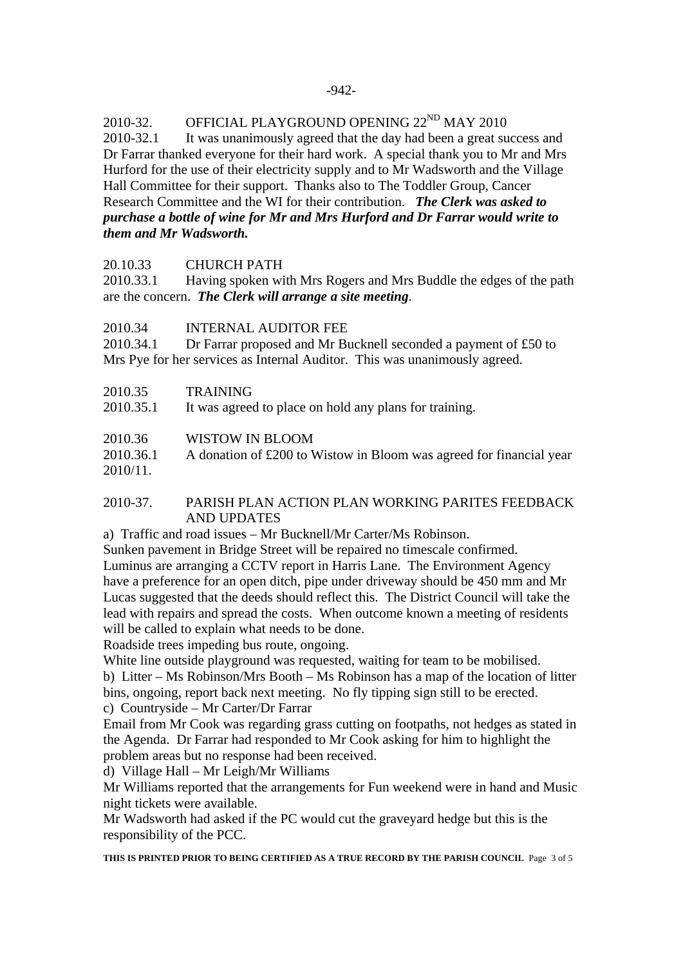2010-32. OFFICIAL PLAYGROUND OPENING  $22^{ND}$  MAY 2010

2010-32.1 It was unanimously agreed that the day had been a great success and Dr Farrar thanked everyone for their hard work. A special thank you to Mr and Mrs Hurford for the use of their electricity supply and to Mr Wadsworth and the Village Hall Committee for their support. Thanks also to The Toddler Group, Cancer Research Committee and the WI for their contribution. *The Clerk was asked to purchase a bottle of wine for Mr and Mrs Hurford and Dr Farrar would write to them and Mr Wadsworth.*

20.10.33 CHURCH PATH

2010.33.1 Having spoken with Mrs Rogers and Mrs Buddle the edges of the path are the concern. *The Clerk will arrange a site meeting*.

2010.34 INTERNAL AUDITOR FEE

2010.34.1 Dr Farrar proposed and Mr Bucknell seconded a payment of £50 to Mrs Pye for her services as Internal Auditor. This was unanimously agreed.

2010.35 TRAINING

2010.35.1 It was agreed to place on hold any plans for training.

2010.36 WISTOW IN BLOOM

2010.36.1 A donation of £200 to Wistow in Bloom was agreed for financial year 2010/11.

## 2010-37. PARISH PLAN ACTION PLAN WORKING PARITES FEEDBACK AND UPDATES

a) Traffic and road issues – Mr Bucknell/Mr Carter/Ms Robinson.

Sunken pavement in Bridge Street will be repaired no timescale confirmed.

Luminus are arranging a CCTV report in Harris Lane. The Environment Agency have a preference for an open ditch, pipe under driveway should be 450 mm and Mr Lucas suggested that the deeds should reflect this. The District Council will take the lead with repairs and spread the costs. When outcome known a meeting of residents will be called to explain what needs to be done.

Roadside trees impeding bus route, ongoing.

White line outside playground was requested, waiting for team to be mobilised.

b) Litter – Ms Robinson/Mrs Booth – Ms Robinson has a map of the location of litter bins, ongoing, report back next meeting. No fly tipping sign still to be erected. c) Countryside – Mr Carter/Dr Farrar

Email from Mr Cook was regarding grass cutting on footpaths, not hedges as stated in the Agenda. Dr Farrar had responded to Mr Cook asking for him to highlight the problem areas but no response had been received.

d) Village Hall – Mr Leigh/Mr Williams

Mr Williams reported that the arrangements for Fun weekend were in hand and Music night tickets were available.

Mr Wadsworth had asked if the PC would cut the graveyard hedge but this is the responsibility of the PCC.

**THIS IS PRINTED PRIOR TO BEING CERTIFIED AS A TRUE RECORD BY THE PARISH COUNCIL** Page 3 of 5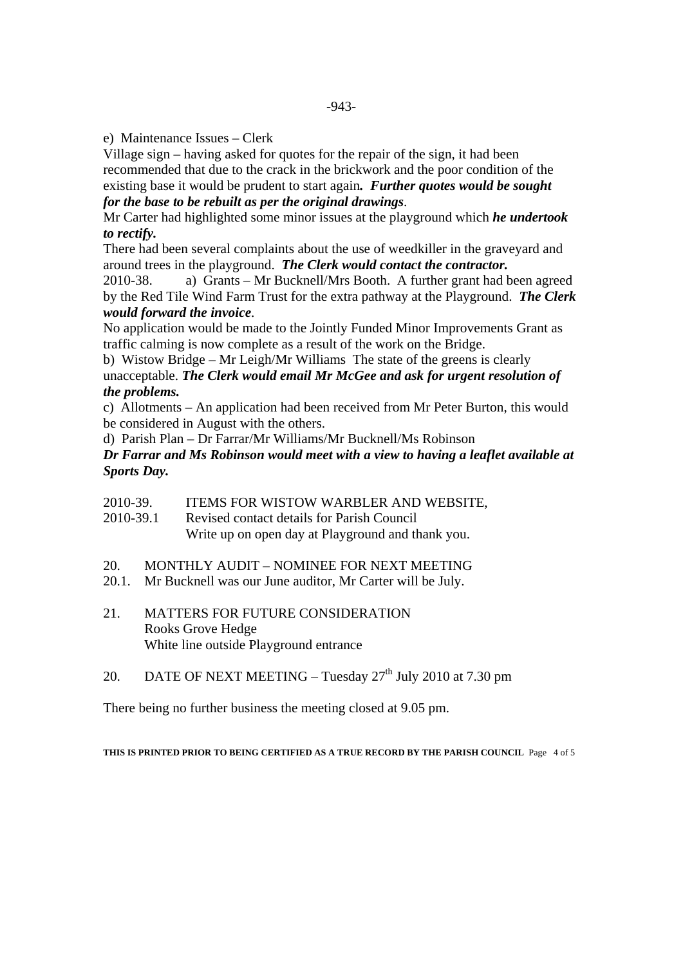e) Maintenance Issues – Clerk

Village sign – having asked for quotes for the repair of the sign, it had been recommended that due to the crack in the brickwork and the poor condition of the existing base it would be prudent to start again*. Further quotes would be sought for the base to be rebuilt as per the original drawings*.

Mr Carter had highlighted some minor issues at the playground which *he undertook to rectify.* 

There had been several complaints about the use of weedkiller in the graveyard and around trees in the playground. *The Clerk would contact the contractor.* 

2010-38. a) Grants – Mr Bucknell/Mrs Booth. A further grant had been agreed by the Red Tile Wind Farm Trust for the extra pathway at the Playground. *The Clerk would forward the invoice*.

No application would be made to the Jointly Funded Minor Improvements Grant as traffic calming is now complete as a result of the work on the Bridge.

b) Wistow Bridge – Mr Leigh/Mr Williams The state of the greens is clearly unacceptable. *The Clerk would email Mr McGee and ask for urgent resolution of the problems.* 

c) Allotments – An application had been received from Mr Peter Burton, this would be considered in August with the others.

d) Parish Plan – Dr Farrar/Mr Williams/Mr Bucknell/Ms Robinson

*Dr Farrar and Ms Robinson would meet with a view to having a leaflet available at Sports Day.* 

- 2010-39. ITEMS FOR WISTOW WARBLER AND WEBSITE,
- 2010-39.1 Revised contact details for Parish Council

Write up on open day at Playground and thank you.

- 20. MONTHLY AUDIT NOMINEE FOR NEXT MEETING
- 20.1. Mr Bucknell was our June auditor, Mr Carter will be July.
- 21. MATTERS FOR FUTURE CONSIDERATION Rooks Grove Hedge White line outside Playground entrance
- 20. DATE OF NEXT MEETING Tuesday  $27<sup>th</sup>$  July 2010 at 7.30 pm

There being no further business the meeting closed at 9.05 pm.

**THIS IS PRINTED PRIOR TO BEING CERTIFIED AS A TRUE RECORD BY THE PARISH COUNCIL** Page 4 of 5